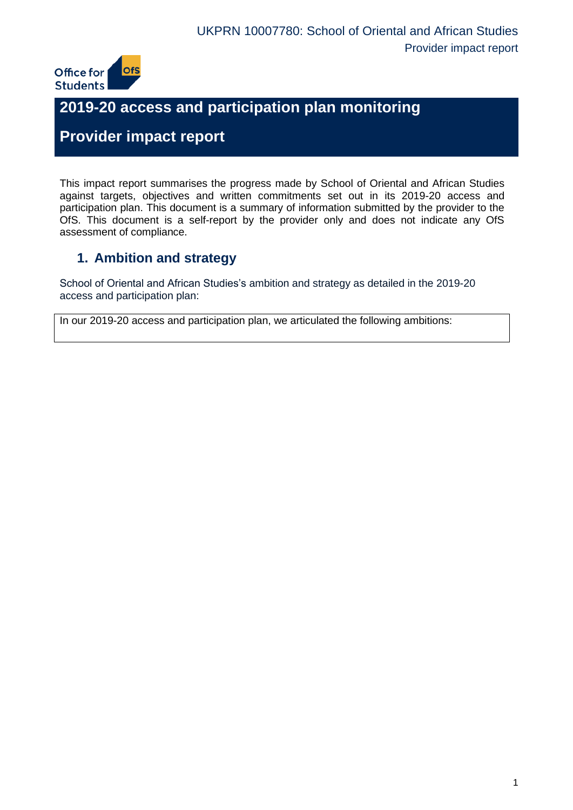

# **2019-20 access and participation plan monitoring**

# **Provider impact report**

This impact report summarises the progress made by School of Oriental and African Studies against targets, objectives and written commitments set out in its 2019-20 access and participation plan. This document is a summary of information submitted by the provider to the OfS. This document is a self-report by the provider only and does not indicate any OfS assessment of compliance.

## **1. Ambition and strategy**

School of Oriental and African Studies's ambition and strategy as detailed in the 2019-20 access and participation plan:

In our 2019-20 access and participation plan, we articulated the following ambitions: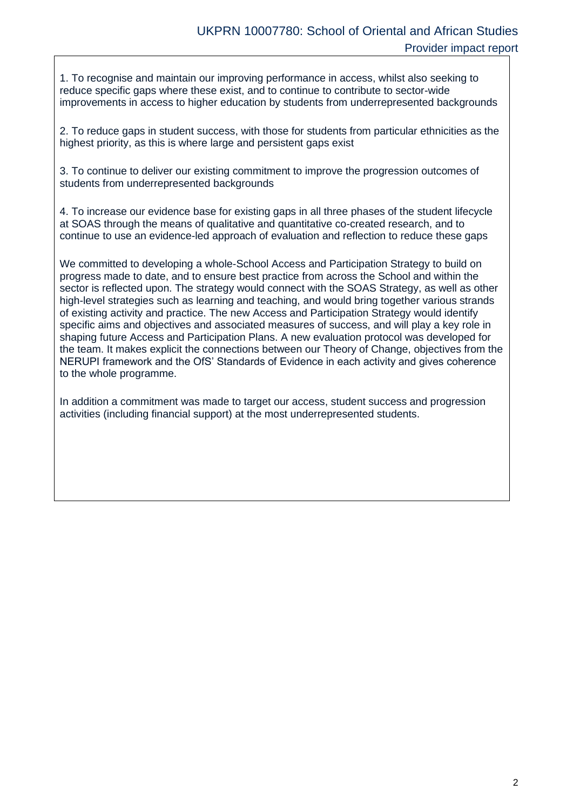1. To recognise and maintain our improving performance in access, whilst also seeking to reduce specific gaps where these exist, and to continue to contribute to sector-wide improvements in access to higher education by students from underrepresented backgrounds

2. To reduce gaps in student success, with those for students from particular ethnicities as the highest priority, as this is where large and persistent gaps exist

3. To continue to deliver our existing commitment to improve the progression outcomes of students from underrepresented backgrounds

4. To increase our evidence base for existing gaps in all three phases of the student lifecycle at SOAS through the means of qualitative and quantitative co-created research, and to continue to use an evidence-led approach of evaluation and reflection to reduce these gaps

We committed to developing a whole-School Access and Participation Strategy to build on progress made to date, and to ensure best practice from across the School and within the sector is reflected upon. The strategy would connect with the SOAS Strategy, as well as other high-level strategies such as learning and teaching, and would bring together various strands of existing activity and practice. The new Access and Participation Strategy would identify specific aims and objectives and associated measures of success, and will play a key role in shaping future Access and Participation Plans. A new evaluation protocol was developed for the team. It makes explicit the connections between our Theory of Change, objectives from the NERUPI framework and the OfS' Standards of Evidence in each activity and gives coherence to the whole programme.

In addition a commitment was made to target our access, student success and progression activities (including financial support) at the most underrepresented students.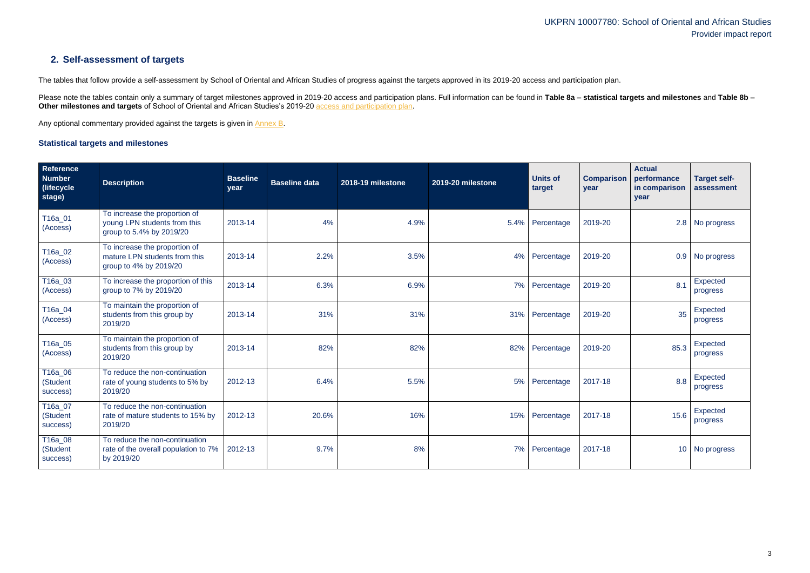## **2. Self-assessment of targets**

The tables that follow provide a self-assessment by School of Oriental and African Studies of progress against the targets approved in its 2019-20 access and participation plan.

Please note the tables contain only a summary of target milestones approved in 2019-20 access and participation plans. Full information can be found in Table 8a - statistical targets and milestones and Table 8b -**Other milestones and targets** of School of Oriental and African Studies's 2019-20 [access and participation plan.](https://www.officeforstudents.org.uk/advice-and-guidance/the-register/search-for-access-and-participation-plans/#/AccessPlans/)

Any optional commentary provided against the targets is given in [Annex B.](#page-11-0)

### <span id="page-2-0"></span>**Statistical targets and milestones**

| Reference<br><b>Number</b><br>(lifecycle)<br>stage) | <b>Description</b>                                                                        | <b>Baseline</b><br>year | <b>Baseline data</b> | 2018-19 milestone | 2019-20 milestone | <b>Units of</b><br>target | <b>Comparison</b><br>year | <b>Actual</b><br>performance<br>in comparison<br>year | <b>Target self-</b><br>assessment |
|-----------------------------------------------------|-------------------------------------------------------------------------------------------|-------------------------|----------------------|-------------------|-------------------|---------------------------|---------------------------|-------------------------------------------------------|-----------------------------------|
| T16a_01<br>(Access)                                 | To increase the proportion of<br>young LPN students from this<br>group to 5.4% by 2019/20 | 2013-14                 | 4%                   | 4.9%              | 5.4%              | Percentage                | 2019-20                   |                                                       | 2.8 No progress                   |
| T16a_02<br>(Access)                                 | To increase the proportion of<br>mature LPN students from this<br>group to 4% by 2019/20  | 2013-14                 | 2.2%                 | 3.5%              | 4%                | Percentage                | 2019-20                   | 0.9                                                   | No progress                       |
| T16a_03<br>(Access)                                 | To increase the proportion of this<br>group to 7% by 2019/20                              | 2013-14                 | 6.3%                 | 6.9%              | 7%                | Percentage                | 2019-20                   | 8.1                                                   | Expected<br>progress              |
| T16a_04<br>(Access)                                 | To maintain the proportion of<br>students from this group by<br>2019/20                   | 2013-14                 | 31%                  | 31%               | 31%               | Percentage                | 2019-20                   | 35                                                    | <b>Expected</b><br>progress       |
| T16a_05<br>(Access)                                 | To maintain the proportion of<br>students from this group by<br>2019/20                   | 2013-14                 | 82%                  | 82%               | 82%               | Percentage                | 2019-20                   | 85.3                                                  | Expected<br>progress              |
| T16a_06<br>(Student<br>success)                     | To reduce the non-continuation<br>rate of young students to 5% by<br>2019/20              | 2012-13                 | 6.4%                 | 5.5%              | 5%                | Percentage                | 2017-18                   | 8.8                                                   | <b>Expected</b><br>progress       |
| T16a_07<br>(Student<br>success)                     | To reduce the non-continuation<br>rate of mature students to 15% by<br>2019/20            | 2012-13                 | 20.6%                | 16%               | 15%               | Percentage                | 2017-18                   | 15.6                                                  | Expected<br>progress              |
| T16a_08<br>(Student<br>success)                     | To reduce the non-continuation<br>rate of the overall population to 7%<br>by 2019/20      | 2012-13                 | 9.7%                 | 8%                | 7%                | Percentage                | 2017-18                   |                                                       | 10 No progress                    |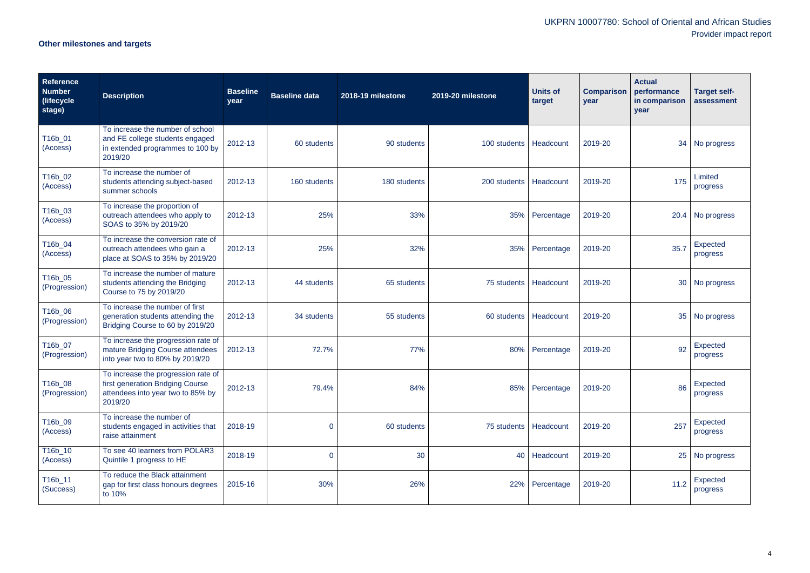# **Other milestones and targets**

| <b>Reference</b><br><b>Number</b><br>(lifecycle)<br>stage) | <b>Description</b>                                                                                                      | <b>Baseline</b><br>year | <b>Baseline data</b> | 2018-19 milestone | 2019-20 milestone        | <b>Units of</b><br>target | <b>Comparison</b><br>year | <b>Actual</b><br>performance<br>in comparison<br>year | <b>Target self-</b><br>assessment |
|------------------------------------------------------------|-------------------------------------------------------------------------------------------------------------------------|-------------------------|----------------------|-------------------|--------------------------|---------------------------|---------------------------|-------------------------------------------------------|-----------------------------------|
| T16b_01<br>(Access)                                        | To increase the number of school<br>and FE college students engaged<br>in extended programmes to 100 by<br>2019/20      | 2012-13                 | 60 students          | 90 students       | 100 students   Headcount |                           | 2019-20                   | 34                                                    | No progress                       |
| T16b_02<br>(Access)                                        | To increase the number of<br>students attending subject-based<br>summer schools                                         | 2012-13                 | 160 students         | 180 students      | 200 students             | Headcount                 | 2019-20                   | 175                                                   | Limited<br>progress               |
| T16b_03<br>(Access)                                        | To increase the proportion of<br>outreach attendees who apply to<br>SOAS to 35% by 2019/20                              | 2012-13                 | 25%                  | 33%               | 35%                      | Percentage                | 2019-20                   |                                                       | 20.4 No progress                  |
| T16b_04<br>(Access)                                        | To increase the conversion rate of<br>outreach attendees who gain a<br>place at SOAS to 35% by 2019/20                  | 2012-13                 | 25%                  | 32%               | 35%                      | Percentage                | 2019-20                   | 35.7                                                  | <b>Expected</b><br>progress       |
| T16b_05<br>(Progression)                                   | To increase the number of mature<br>students attending the Bridging<br>Course to 75 by 2019/20                          | 2012-13                 | 44 students          | 65 students       | 75 students   Headcount  |                           | 2019-20                   |                                                       | 30 No progress                    |
| T16b_06<br>(Progression)                                   | To increase the number of first<br>generation students attending the<br>Bridging Course to 60 by 2019/20                | 2012-13                 | 34 students          | 55 students       | 60 students   Headcount  |                           | 2019-20                   | 35                                                    | No progress                       |
| T16b_07<br>(Progression)                                   | To increase the progression rate of<br>mature Bridging Course attendees<br>into year two to 80% by 2019/20              | 2012-13                 | 72.7%                | 77%               | 80%                      | Percentage                | 2019-20                   | 92                                                    | Expected<br>progress              |
| T16b_08<br>(Progression)                                   | To increase the progression rate of<br>first generation Bridging Course<br>attendees into year two to 85% by<br>2019/20 | 2012-13                 | 79.4%                | 84%               | 85%                      | Percentage                | 2019-20                   | 86                                                    | <b>Expected</b><br>progress       |
| T16b_09<br>(Access)                                        | To increase the number of<br>students engaged in activities that<br>raise attainment                                    | 2018-19                 | $\mathbf 0$          | 60 students       | 75 students   Headcount  |                           | 2019-20                   | 257                                                   | Expected<br>progress              |
| T16b_10<br>(Access)                                        | To see 40 learners from POLAR3<br>Quintile 1 progress to HE                                                             | 2018-19                 | $\overline{0}$       | 30                |                          | 40 Headcount              | 2019-20                   | 25                                                    | No progress                       |
| T16b_11<br>(Success)                                       | To reduce the Black attainment<br>gap for first class honours degrees<br>to 10%                                         | 2015-16                 | 30%                  | 26%               |                          | 22% Percentage            | 2019-20                   | 11.2                                                  | Expected<br>progress              |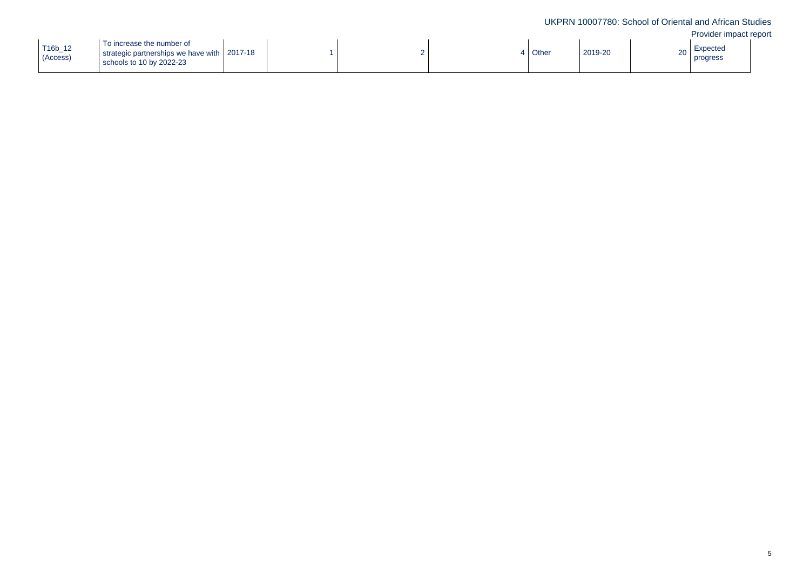| T16b_12<br>(Access) | To increase the number of<br>strategic partnerships we have with 2017-18<br>schools to 10 by 2022-23 |  |  |  |  | Other | 2019-20 | 20 |
|---------------------|------------------------------------------------------------------------------------------------------|--|--|--|--|-------|---------|----|
|---------------------|------------------------------------------------------------------------------------------------------|--|--|--|--|-------|---------|----|

| Expected<br>progress<br>20 |  |
|----------------------------|--|
|----------------------------|--|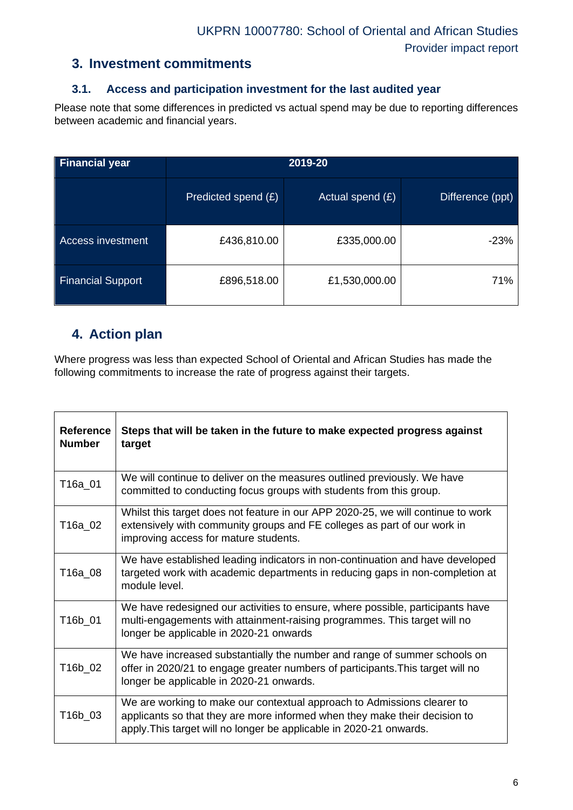### **3. Investment commitments**

### **3.1. Access and participation investment for the last audited year**

Please note that some differences in predicted vs actual spend may be due to reporting differences between academic and financial years.

| <b>Financial year</b>    |                     |                    |                  |
|--------------------------|---------------------|--------------------|------------------|
|                          | Predicted spend (£) | Actual spend $(E)$ | Difference (ppt) |
| Access investment        | £436,810.00         | £335,000.00        | $-23%$           |
| <b>Financial Support</b> | £896,518.00         | £1,530,000.00      | 71%              |

## **4. Action plan**

Where progress was less than expected School of Oriental and African Studies has made the following commitments to increase the rate of progress against their targets.

| <b>Reference</b><br><b>Number</b> | Steps that will be taken in the future to make expected progress against<br>target                                                                                                                                           |
|-----------------------------------|------------------------------------------------------------------------------------------------------------------------------------------------------------------------------------------------------------------------------|
| T16a_01                           | We will continue to deliver on the measures outlined previously. We have<br>committed to conducting focus groups with students from this group.                                                                              |
| T16a_02                           | Whilst this target does not feature in our APP 2020-25, we will continue to work<br>extensively with community groups and FE colleges as part of our work in<br>improving access for mature students.                        |
| T16a_08                           | We have established leading indicators in non-continuation and have developed<br>targeted work with academic departments in reducing gaps in non-completion at<br>module level.                                              |
| T16b 01                           | We have redesigned our activities to ensure, where possible, participants have<br>multi-engagements with attainment-raising programmes. This target will no<br>longer be applicable in 2020-21 onwards                       |
| T16b_02                           | We have increased substantially the number and range of summer schools on<br>offer in 2020/21 to engage greater numbers of participants. This target will no<br>longer be applicable in 2020-21 onwards.                     |
| T16b_03                           | We are working to make our contextual approach to Admissions clearer to<br>applicants so that they are more informed when they make their decision to<br>apply. This target will no longer be applicable in 2020-21 onwards. |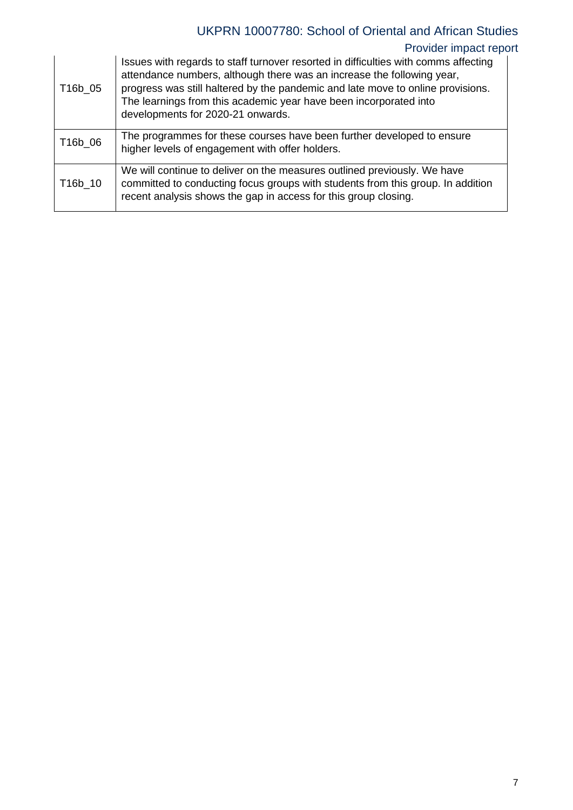## UKPRN 10007780: School of Oriental and African Studies

## Provider impact report

| T16b_05 | Issues with regards to staff turnover resorted in difficulties with comms affecting<br>attendance numbers, although there was an increase the following year,<br>progress was still haltered by the pandemic and late move to online provisions.<br>The learnings from this academic year have been incorporated into<br>developments for 2020-21 onwards. |
|---------|------------------------------------------------------------------------------------------------------------------------------------------------------------------------------------------------------------------------------------------------------------------------------------------------------------------------------------------------------------|
| T16b_06 | The programmes for these courses have been further developed to ensure<br>higher levels of engagement with offer holders.                                                                                                                                                                                                                                  |
| T16b 10 | We will continue to deliver on the measures outlined previously. We have<br>committed to conducting focus groups with students from this group. In addition<br>recent analysis shows the gap in access for this group closing.                                                                                                                             |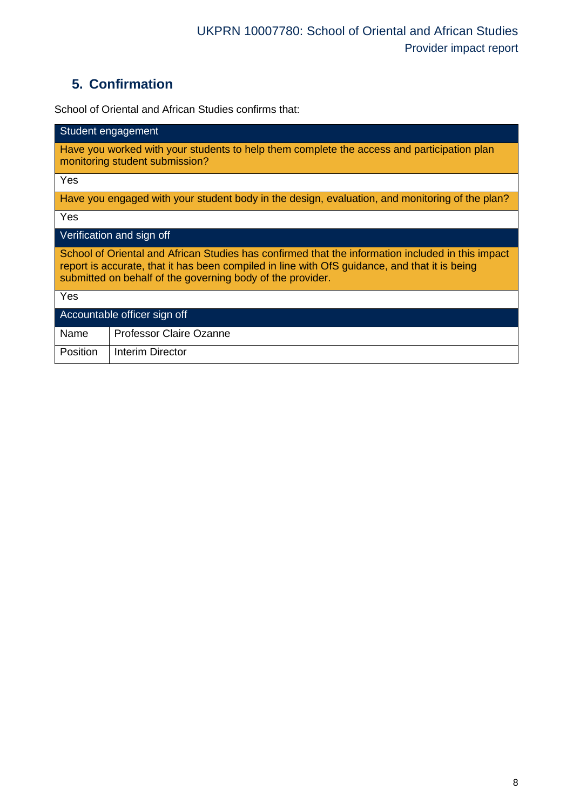## **5. Confirmation**

School of Oriental and African Studies confirms that:

| Student engagement                                                                                                                                                                                                                                               |  |  |  |  |
|------------------------------------------------------------------------------------------------------------------------------------------------------------------------------------------------------------------------------------------------------------------|--|--|--|--|
| Have you worked with your students to help them complete the access and participation plan<br>monitoring student submission?                                                                                                                                     |  |  |  |  |
| Yes                                                                                                                                                                                                                                                              |  |  |  |  |
| Have you engaged with your student body in the design, evaluation, and monitoring of the plan?                                                                                                                                                                   |  |  |  |  |
| Yes                                                                                                                                                                                                                                                              |  |  |  |  |
| Verification and sign off                                                                                                                                                                                                                                        |  |  |  |  |
| School of Oriental and African Studies has confirmed that the information included in this impact<br>report is accurate, that it has been compiled in line with OfS guidance, and that it is being<br>submitted on behalf of the governing body of the provider. |  |  |  |  |
| Yes                                                                                                                                                                                                                                                              |  |  |  |  |
| Accountable officer sign off                                                                                                                                                                                                                                     |  |  |  |  |
| <b>Professor Claire Ozanne</b><br>Name                                                                                                                                                                                                                           |  |  |  |  |
| <b>Position</b><br>Interim Director                                                                                                                                                                                                                              |  |  |  |  |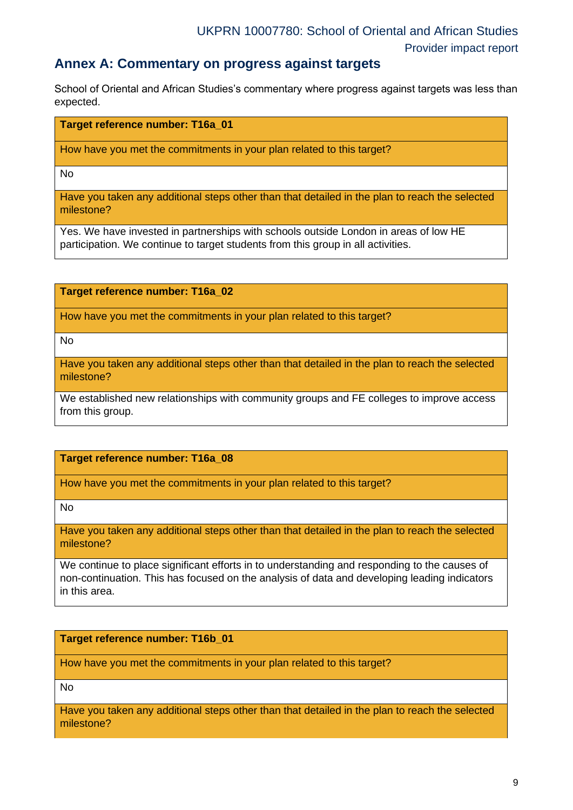### **Annex A: Commentary on progress against targets**

School of Oriental and African Studies's commentary where progress against targets was less than expected.

#### **Target reference number: T16a\_01**

How have you met the commitments in your plan related to this target?

No

Have you taken any additional steps other than that detailed in the plan to reach the selected milestone?

Yes. We have invested in partnerships with schools outside London in areas of low HE participation. We continue to target students from this group in all activities.

**Target reference number: T16a\_02**

How have you met the commitments in your plan related to this target?

No

Have you taken any additional steps other than that detailed in the plan to reach the selected milestone?

We established new relationships with community groups and FE colleges to improve access from this group.

### **Target reference number: T16a\_08**

How have you met the commitments in your plan related to this target?

No

Have you taken any additional steps other than that detailed in the plan to reach the selected milestone?

We continue to place significant efforts in to understanding and responding to the causes of non-continuation. This has focused on the analysis of data and developing leading indicators in this area.

### **Target reference number: T16b\_01**

How have you met the commitments in your plan related to this target?

No

Have you taken any additional steps other than that detailed in the plan to reach the selected milestone?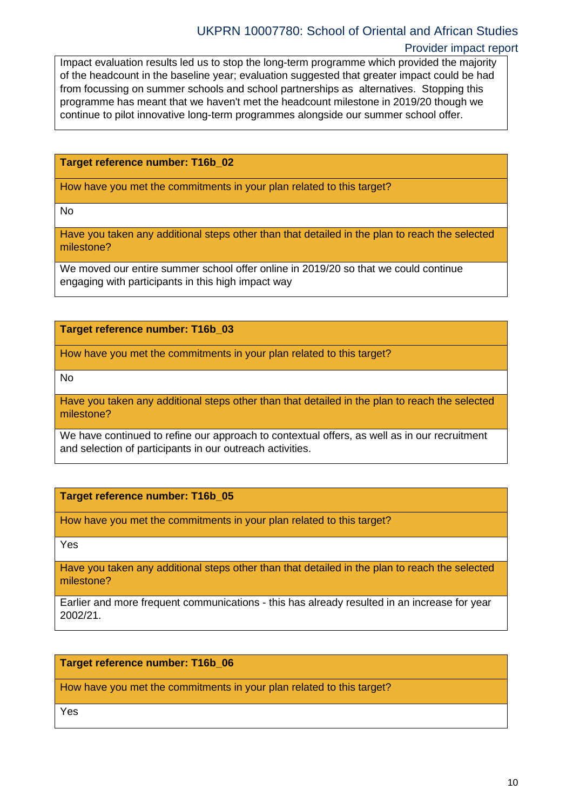Impact evaluation results led us to stop the long-term programme which provided the majority of the headcount in the baseline year; evaluation suggested that greater impact could be had from focussing on summer schools and school partnerships as alternatives. Stopping this programme has meant that we haven't met the headcount milestone in 2019/20 though we continue to pilot innovative long-term programmes alongside our summer school offer.

#### **Target reference number: T16b\_02**

How have you met the commitments in your plan related to this target?

No

Have you taken any additional steps other than that detailed in the plan to reach the selected milestone?

We moved our entire summer school offer online in 2019/20 so that we could continue engaging with participants in this high impact way

### **Target reference number: T16b\_03**

How have you met the commitments in your plan related to this target?

No

Have you taken any additional steps other than that detailed in the plan to reach the selected milestone?

We have continued to refine our approach to contextual offers, as well as in our recruitment and selection of participants in our outreach activities.

### **Target reference number: T16b\_05**

How have you met the commitments in your plan related to this target?

Yes

Have you taken any additional steps other than that detailed in the plan to reach the selected milestone?

Earlier and more frequent communications - this has already resulted in an increase for year 2002/21.

### **Target reference number: T16b\_06**

How have you met the commitments in your plan related to this target?

Yes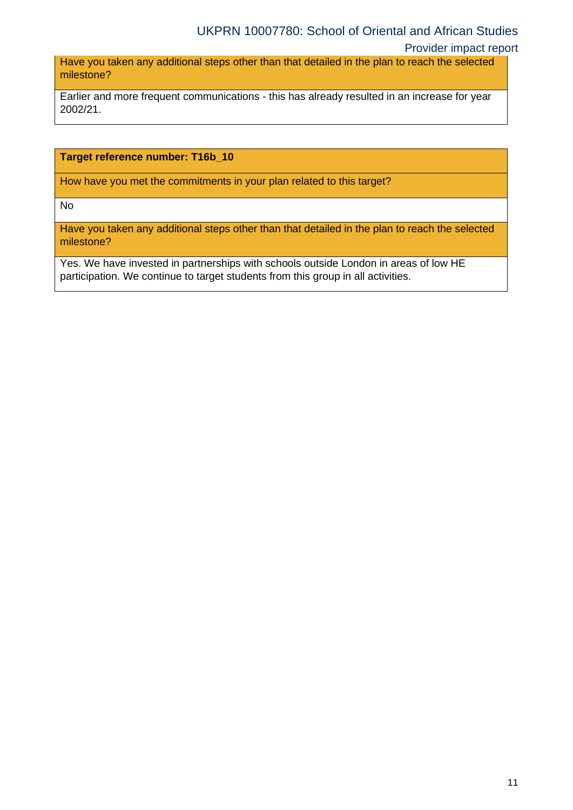### UKPRN 10007780: School of Oriental and African Studies

Provider impact report

Have you taken any additional steps other than that detailed in the plan to reach the selected milestone?

Earlier and more frequent communications - this has already resulted in an increase for year 2002/21.

### **Target reference number: T16b\_10**

How have you met the commitments in your plan related to this target?

No

Have you taken any additional steps other than that detailed in the plan to reach the selected milestone?

Yes. We have invested in partnerships with schools outside London in areas of low HE participation. We continue to target students from this group in all activities.